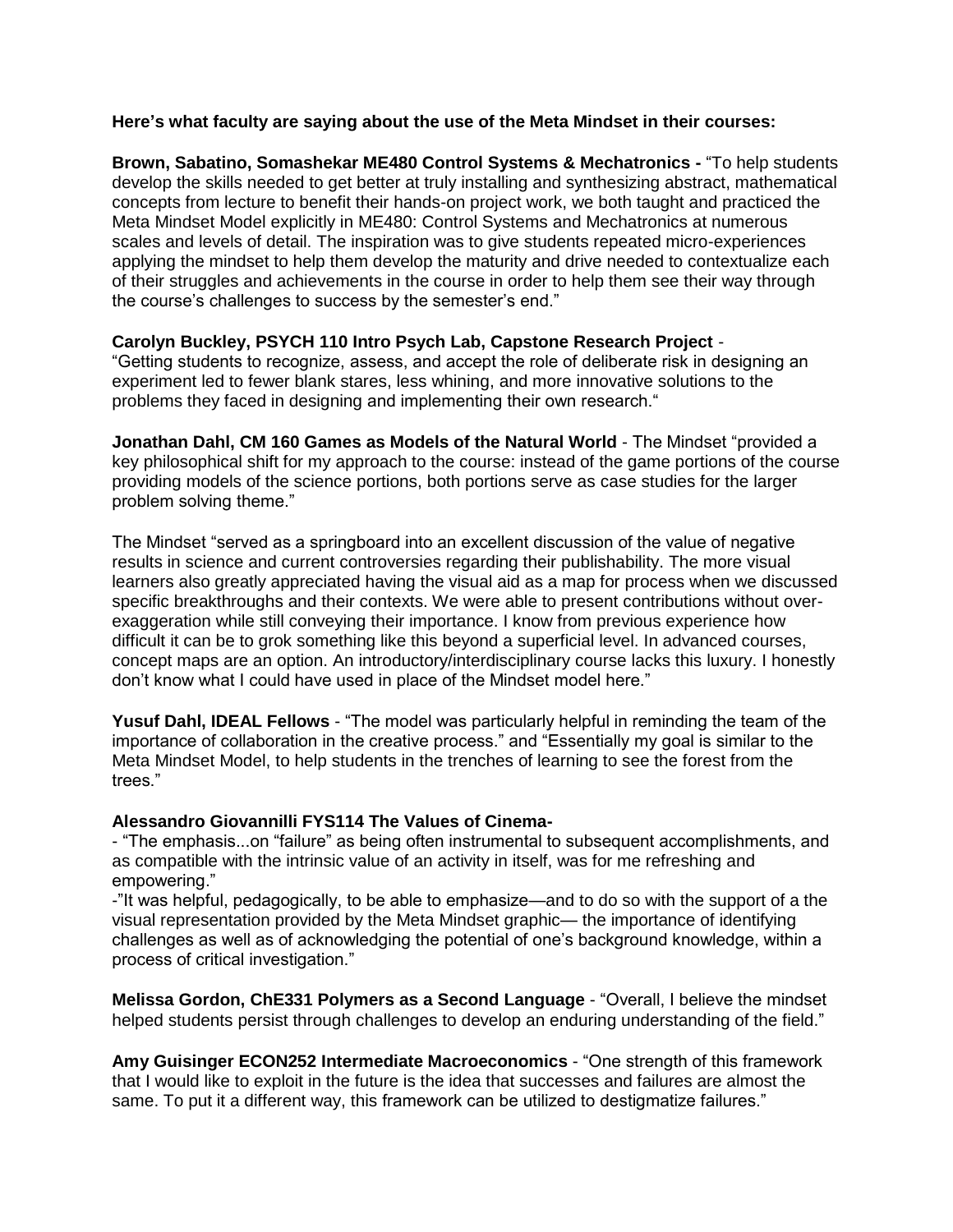## **Here's what faculty are saying about the use of the Meta Mindset in their courses:**

**Brown, Sabatino, Somashekar ME480 Control Systems & Mechatronics -** "To help students develop the skills needed to get better at truly installing and synthesizing abstract, mathematical concepts from lecture to benefit their hands-on project work, we both taught and practiced the Meta Mindset Model explicitly in ME480: Control Systems and Mechatronics at numerous scales and levels of detail. The inspiration was to give students repeated micro-experiences applying the mindset to help them develop the maturity and drive needed to contextualize each of their struggles and achievements in the course in order to help them see their way through the course's challenges to success by the semester's end."

## **Carolyn Buckley, PSYCH 110 Intro Psych Lab, Capstone Research Project** -

"Getting students to recognize, assess, and accept the role of deliberate risk in designing an experiment led to fewer blank stares, less whining, and more innovative solutions to the problems they faced in designing and implementing their own research."

**Jonathan Dahl, CM 160 Games as Models of the Natural World** - The Mindset "provided a key philosophical shift for my approach to the course: instead of the game portions of the course providing models of the science portions, both portions serve as case studies for the larger problem solving theme."

The Mindset "served as a springboard into an excellent discussion of the value of negative results in science and current controversies regarding their publishability. The more visual learners also greatly appreciated having the visual aid as a map for process when we discussed specific breakthroughs and their contexts. We were able to present contributions without overexaggeration while still conveying their importance. I know from previous experience how difficult it can be to grok something like this beyond a superficial level. In advanced courses, concept maps are an option. An introductory/interdisciplinary course lacks this luxury. I honestly don't know what I could have used in place of the Mindset model here."

**Yusuf Dahl, IDEAL Fellows** - "The model was particularly helpful in reminding the team of the importance of collaboration in the creative process." and "Essentially my goal is similar to the Meta Mindset Model, to help students in the trenches of learning to see the forest from the trees."

## **Alessandro Giovannilli FYS114 The Values of Cinema-**

- "The emphasis...on "failure" as being often instrumental to subsequent accomplishments, and as compatible with the intrinsic value of an activity in itself, was for me refreshing and empowering."

-"It was helpful, pedagogically, to be able to emphasize—and to do so with the support of a the visual representation provided by the Meta Mindset graphic— the importance of identifying challenges as well as of acknowledging the potential of one's background knowledge, within a process of critical investigation."

**Melissa Gordon, ChE331 Polymers as a Second Language** - "Overall, I believe the mindset helped students persist through challenges to develop an enduring understanding of the field."

**Amy Guisinger ECON252 Intermediate Macroeconomics** - "One strength of this framework that I would like to exploit in the future is the idea that successes and failures are almost the same. To put it a different way, this framework can be utilized to destigmatize failures."